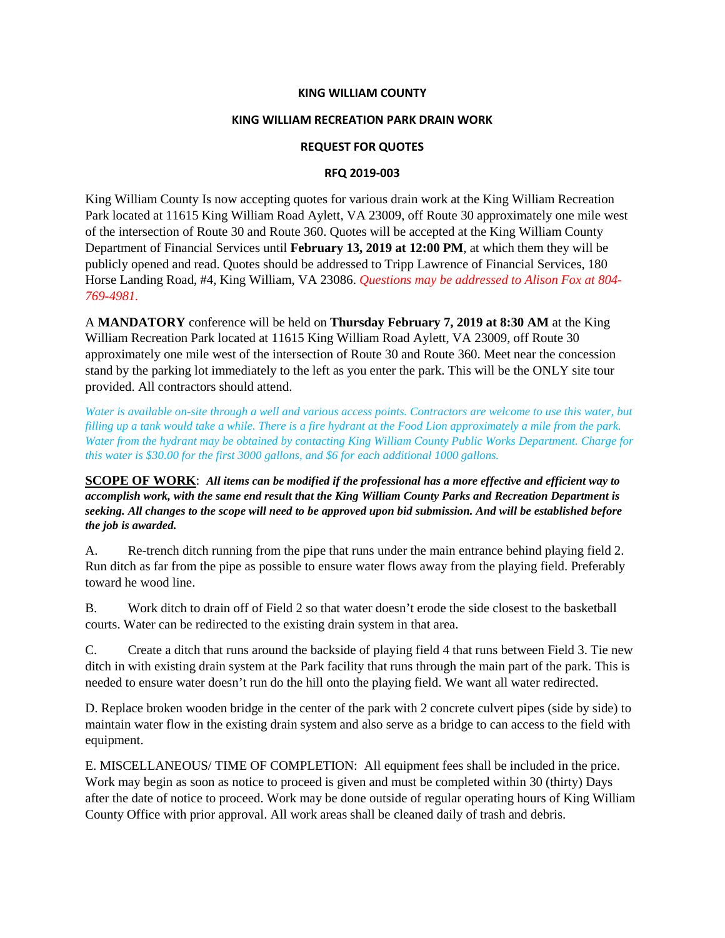### **KING WILLIAM COUNTY**

### **KING WILLIAM RECREATION PARK DRAIN WORK**

### **REQUEST FOR QUOTES**

### **RFQ 2019-003**

King William County Is now accepting quotes for various drain work at the King William Recreation Park located at 11615 King William Road Aylett, VA 23009, off Route 30 approximately one mile west of the intersection of Route 30 and Route 360. Quotes will be accepted at the King William County Department of Financial Services until **February 13, 2019 at 12:00 PM**, at which them they will be publicly opened and read. Quotes should be addressed to Tripp Lawrence of Financial Services, 180 Horse Landing Road, #4, King William, VA 23086. *Questions may be addressed to Alison Fox at 804- 769-4981.*

A **MANDATORY** conference will be held on **Thursday February 7, 2019 at 8:30 AM** at the King William Recreation Park located at 11615 King William Road Aylett, VA 23009, off Route 30 approximately one mile west of the intersection of Route 30 and Route 360. Meet near the concession stand by the parking lot immediately to the left as you enter the park. This will be the ONLY site tour provided. All contractors should attend.

*Water is available on-site through a well and various access points. Contractors are welcome to use this water, but filling up a tank would take a while. There is a fire hydrant at the Food Lion approximately a mile from the park. Water from the hydrant may be obtained by contacting King William County Public Works Department. Charge for this water is \$30.00 for the first 3000 gallons, and \$6 for each additional 1000 gallons.*

**SCOPE OF WORK**: *All items can be modified if the professional has a more effective and efficient way to accomplish work, with the same end result that the King William County Parks and Recreation Department is seeking. All changes to the scope will need to be approved upon bid submission. And will be established before the job is awarded.*

A. Re-trench ditch running from the pipe that runs under the main entrance behind playing field 2. Run ditch as far from the pipe as possible to ensure water flows away from the playing field. Preferably toward he wood line.

B. Work ditch to drain off of Field 2 so that water doesn't erode the side closest to the basketball courts. Water can be redirected to the existing drain system in that area.

C. Create a ditch that runs around the backside of playing field 4 that runs between Field 3. Tie new ditch in with existing drain system at the Park facility that runs through the main part of the park. This is needed to ensure water doesn't run do the hill onto the playing field. We want all water redirected.

D. Replace broken wooden bridge in the center of the park with 2 concrete culvert pipes (side by side) to maintain water flow in the existing drain system and also serve as a bridge to can access to the field with equipment.

E. MISCELLANEOUS/ TIME OF COMPLETION: All equipment fees shall be included in the price. Work may begin as soon as notice to proceed is given and must be completed within 30 (thirty) Days after the date of notice to proceed. Work may be done outside of regular operating hours of King William County Office with prior approval. All work areas shall be cleaned daily of trash and debris.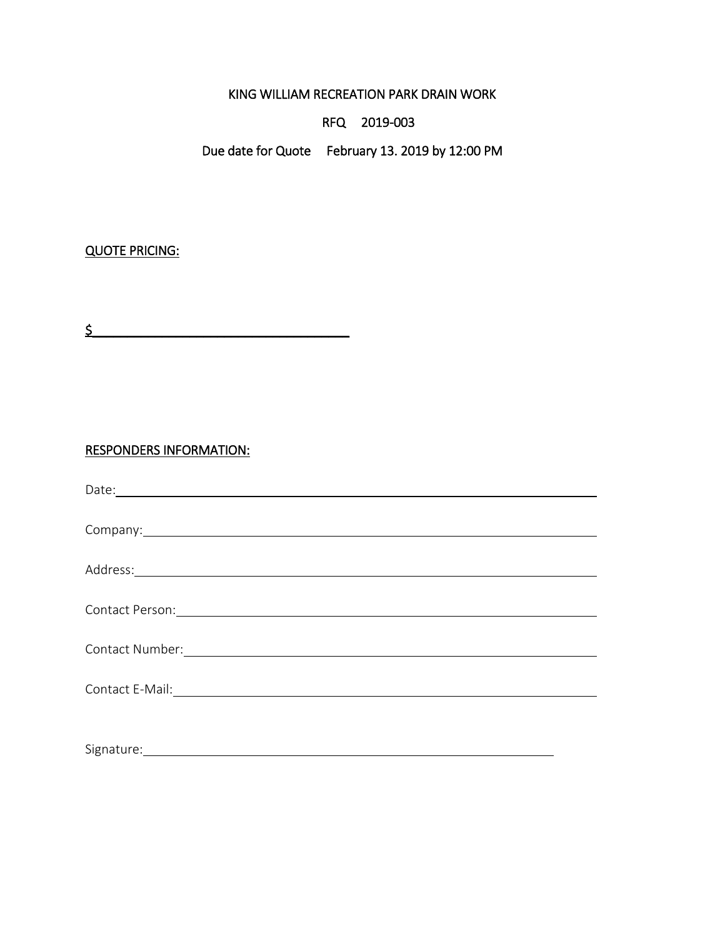KING WILLIAM RECREATION PARK DRAIN WORK

RFQ 2019-003

Due date for Quote February 13. 2019 by 12:00 PM

# QUOTE PRICING:

 $\frac{1}{2}$ 

## RESPONDERS INFORMATION:

| Company: example of the company of the company of the company of the company of the company of the company of the company of the company of the company of the company of the company of the company of the company of the com |
|--------------------------------------------------------------------------------------------------------------------------------------------------------------------------------------------------------------------------------|
|                                                                                                                                                                                                                                |
|                                                                                                                                                                                                                                |
|                                                                                                                                                                                                                                |
|                                                                                                                                                                                                                                |
|                                                                                                                                                                                                                                |
|                                                                                                                                                                                                                                |
|                                                                                                                                                                                                                                |
| Signature:                                                                                                                                                                                                                     |